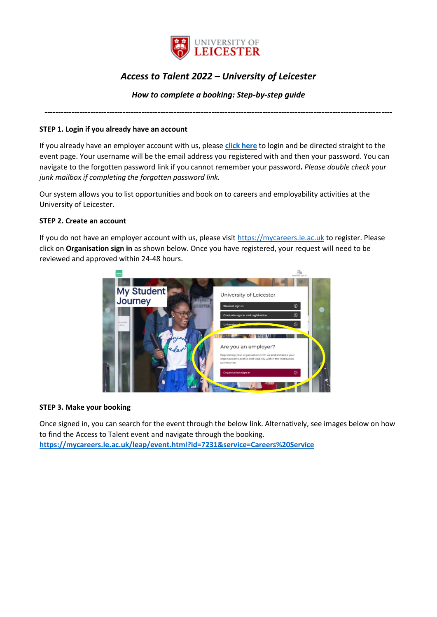

# *Access to Talent 2022 – University of Leicester*

## *How to complete a booking: Step-by-step guide*

*---------------------------------------------------------------------------------------------------------------------------------*

### **STEP 1. Login if you already have an account**

If you already have an employer account with us, please **[click here](https://mycareers.le.ac.uk/leap/event.html?id=7231&service=Careers%20Service)** to login and be directed straight to the event page. Your username will be the email address you registered with and then your password. You can navigate to the forgotten password link if you cannot remember your password**.** *Please double check your junk mailbox if completing the forgotten password link.*

Our system allows you to list opportunities and book on to careers and employability activities at the University of Leicester.

## **STEP 2. Create an account**

If you do not have an employer account with us, please visit [https://mycareers.le.ac.uk](https://mycareers.le.ac.uk/) to register. Please click on **Organisation sign in** as shown below. Once you have registered, your request will need to be reviewed and approved within 24-48 hours.



#### **STEP 3. Make your booking**

Once signed in, you can search for the event through the below link. Alternatively, see images below on how to find the Access to Talent event and navigate through the booking. **<https://mycareers.le.ac.uk/leap/event.html?id=7231&service=Careers%20Service>**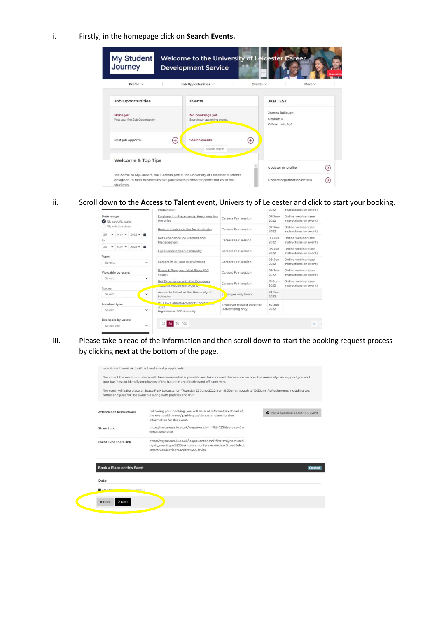i. Firstly, in the homepage click on **Search Events.**



ii. Scroll down to the **Access to Talent** event, University of Leicester and click to start your booking.

|                                                  | Preparation                                                      |                                | 2022                        | instructions on event)                         |  |  |
|--------------------------------------------------|------------------------------------------------------------------|--------------------------------|-----------------------------|------------------------------------------------|--|--|
| Date range:<br>By specific date<br>$\omega$      | Engineering Placements: Keep your ion<br>the prize               | Careers Fair session           | $07 - \text{bin} -$<br>2022 | Online webinar (see<br>instructions on event). |  |  |
| By relative date<br>May $\vee$ 2022 $\vee$<br>26 | How to break into the Tech Industry                              | Careers Fair session           | 07-Jun-<br>2022             | Online webinar (see<br>instructions on event)  |  |  |
| to                                               | Get Experience in Business and<br>Management                     | Careers Fair session           | 08-3un-<br>2022             | Online webinar (see<br>instructions on event)  |  |  |
| May $\vee$ 2023 $\vee$<br>26<br>v<br>盖           | Experience a Year in Industry                                    | Careers Fair session           | $08 - Jun -$<br>2022        | Online webinar (see<br>instructions on event)  |  |  |
| Type:<br>Select.<br>$\checkmark$                 | Careers in HR and Recruitment                                    | Careers Fair session           | 08-Jun-<br>2022             | Online webinar (see<br>instructions on event)  |  |  |
| Viewable by users:                               | Pause & Prep your Next Steps (PG<br>Study)                       | Careers Fair session           | 09-Jun-<br>2022             | Online webinar (see<br>instructions on event)  |  |  |
| Select.<br>$\check{ }$<br>Status:                | Get Experience with the European<br><b>COMMUNISTIRES MARINEY</b> | Careers Fair session           | $10 - Jun -$<br>2022        | Online webinar (see<br>instructions on event)  |  |  |
| Select<br>$\checkmark$                           | Access to Talent at the University of<br>Leicester               | Et ployer only Event           | $23-3u$ n-<br>2022          |                                                |  |  |
| Location type                                    | <b>HE Law Careers Advisors' Conferent</b>                        | <b>Employer Hosted Webinar</b> | $30-3$ un-                  |                                                |  |  |
| Select.                                          | 2022<br>Organisation BPP University                              | (Advertising only)             | 2022                        |                                                |  |  |
| Bookable by users:                               |                                                                  |                                |                             |                                                |  |  |
| v<br>Select one                                  | 25<br>100<br>50                                                  |                                |                             | ĸ                                              |  |  |

iii. Please take a read of the information and then scroll down to start the booking request process by clicking **next** at the bottom of the page.